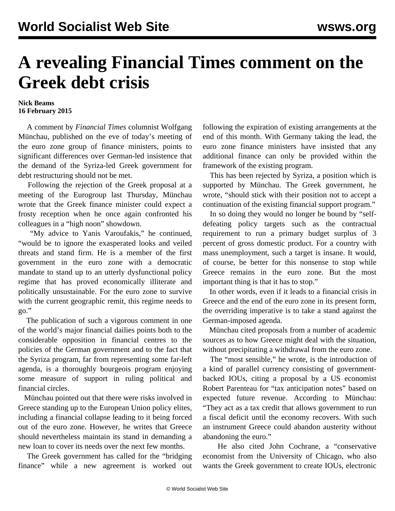## **A revealing Financial Times comment on the Greek debt crisis**

## **Nick Beams 16 February 2015**

 A comment by *Financial Times* columnist Wolfgang Münchau, published on the eve of today's meeting of the euro zone group of finance ministers, points to significant differences over German-led insistence that the demand of the Syriza-led Greek government for debt restructuring should not be met.

 Following the rejection of the Greek proposal at a meeting of the Eurogroup last Thursday, Münchau wrote that the Greek finance minister could expect a frosty reception when he once again confronted his colleagues in a "high noon" showdown.

 "My advice to Yanis Varoufakis," he continued, "would be to ignore the exasperated looks and veiled threats and stand firm. He is a member of the first government in the euro zone with a democratic mandate to stand up to an utterly dysfunctional policy regime that has proved economically illiterate and politically unsustainable. For the euro zone to survive with the current geographic remit, this regime needs to go."

 The publication of such a vigorous comment in one of the world's major financial dailies points both to the considerable opposition in financial centres to the policies of the German government and to the fact that the Syriza program, far from representing some far-left agenda, is a thoroughly bourgeois program enjoying some measure of support in ruling political and financial circles.

 Münchau pointed out that there were risks involved in Greece standing up to the European Union policy elites, including a financial collapse leading to it being forced out of the euro zone. However, he writes that Greece should nevertheless maintain its stand in demanding a new loan to cover its needs over the next few months.

 The Greek government has called for the "bridging finance" while a new agreement is worked out following the expiration of existing arrangements at the end of this month. With Germany taking the lead, the euro zone finance ministers have insisted that any additional finance can only be provided within the framework of the existing program.

 This has been rejected by Syriza, a position which is supported by Münchau. The Greek government, he wrote, "should stick with their position not to accept a continuation of the existing financial support program."

 In so doing they would no longer be bound by "selfdefeating policy targets such as the contractual requirement to run a primary budget surplus of 3 percent of gross domestic product. For a country with mass unemployment, such a target is insane. It would, of course, be better for this nonsense to stop while Greece remains in the euro zone. But the most important thing is that it has to stop."

 In other words, even if it leads to a financial crisis in Greece and the end of the euro zone in its present form, the overriding imperative is to take a stand against the German-imposed agenda.

 Münchau cited proposals from a number of academic sources as to how Greece might deal with the situation, without precipitating a withdrawal from the euro zone.

 The "most sensible," he wrote, is the introduction of a kind of parallel currency consisting of governmentbacked IOUs, citing a proposal by a US economist Robert Parenteau for "tax anticipation notes" based on expected future revenue. According to Münchau: "They act as a tax credit that allows government to run a fiscal deficit until the economy recovers. With such an instrument Greece could abandon austerity without abandoning the euro."

 He also cited John Cochrane, a "conservative economist from the University of Chicago, who also wants the Greek government to create IOUs, electronic